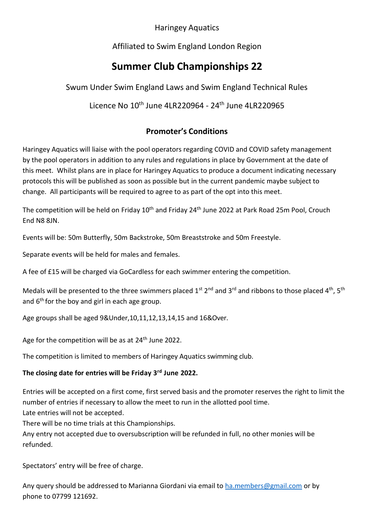#### Haringey Aquatics

### Affiliated to Swim England London Region

# **Summer Club Championships 22**

Swum Under Swim England Laws and Swim England Technical Rules

### Licence No 10th June 4LR220964 - 24th June 4LR220965

## **Promoter's Conditions**

Haringey Aquatics will liaise with the pool operators regarding COVID and COVID safety management by the pool operators in addition to any rules and regulations in place by Government at the date of this meet. Whilst plans are in place for Haringey Aquatics to produce a document indicating necessary protocols this will be published as soon as possible but in the current pandemic maybe subject to change. All participants will be required to agree to as part of the opt into this meet.

The competition will be held on Friday 10<sup>th</sup> and Friday 24<sup>th</sup> June 2022 at Park Road 25m Pool, Crouch End N8 8JN.

Events will be: 50m Butterfly, 50m Backstroke, 50m Breaststroke and 50m Freestyle.

Separate events will be held for males and females.

A fee of £15 will be charged via GoCardless for each swimmer entering the competition.

Medals will be presented to the three swimmers placed  $1^{st}$  2<sup>nd</sup> and 3<sup>rd</sup> and ribbons to those placed 4<sup>th</sup>, 5<sup>th</sup> and 6<sup>th</sup> for the boy and girl in each age group.

Age groups shall be aged 9&Under,10,11,12,13,14,15 and 16&Over.

Age for the competition will be as at 24<sup>th</sup> June 2022.

The competition is limited to members of Haringey Aquatics swimming club.

#### **The closing date for entries will be Friday 3 rd June 2022.**

Entries will be accepted on a first come, first served basis and the promoter reserves the right to limit the number of entries if necessary to allow the meet to run in the allotted pool time.

Late entries will not be accepted.

There will be no time trials at this Championships.

Any entry not accepted due to oversubscription will be refunded in full, no other monies will be refunded.

Spectators' entry will be free of charge.

Any query should be addressed to Marianna Giordani via email to [ha.members@gmail.com](mailto:ha.members@gmail.com) or by phone to 07799 121692.